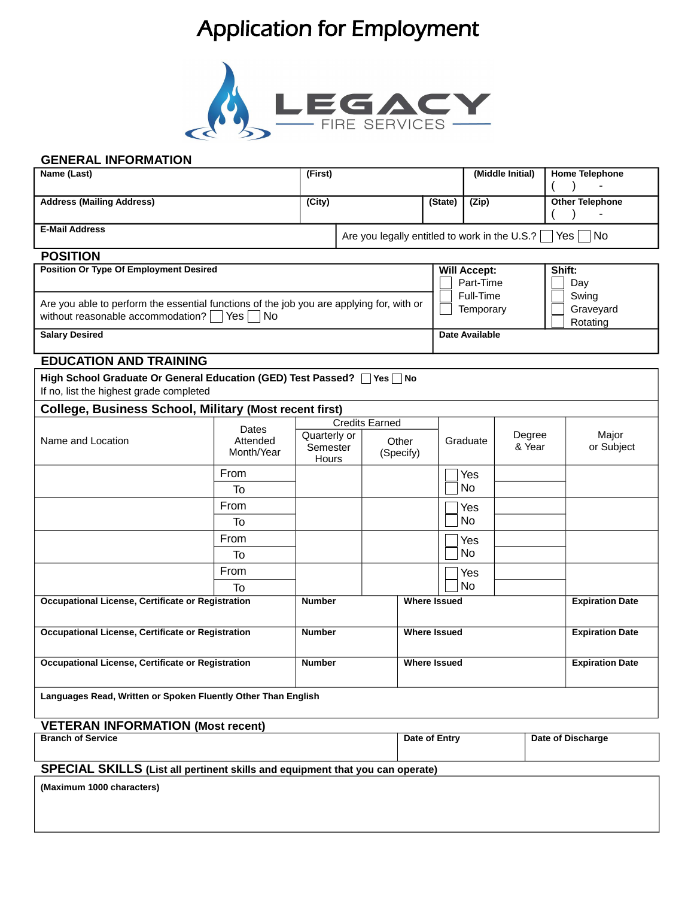## Application for Employment



## **GENERAL INFORMATION**

| Name (Last)                                                                                                                   |                                 | (First)       |                                                                                  |                     | (Middle Initial)    |                                                                          |  |                        | <b>Home Telephone</b>  |  |
|-------------------------------------------------------------------------------------------------------------------------------|---------------------------------|---------------|----------------------------------------------------------------------------------|---------------------|---------------------|--------------------------------------------------------------------------|--|------------------------|------------------------|--|
| <b>Address (Mailing Address)</b>                                                                                              |                                 | (City)        |                                                                                  |                     | (State)             | (Zip)                                                                    |  |                        | <b>Other Telephone</b> |  |
| <b>E-Mail Address</b>                                                                                                         |                                 |               |                                                                                  |                     |                     | <b>No</b><br>Are you legally entitled to work in the U.S.?<br><b>Yes</b> |  |                        |                        |  |
| <b>POSITION</b>                                                                                                               |                                 |               |                                                                                  |                     |                     |                                                                          |  |                        |                        |  |
| <b>Position Or Type Of Employment Desired</b>                                                                                 |                                 |               |                                                                                  |                     |                     | <b>Will Accept:</b><br>Part-Time<br>Full-Time                            |  |                        | Shift:<br>Day<br>Swing |  |
| Are you able to perform the essential functions of the job you are applying for, with or<br>without reasonable accommodation? |                                 |               |                                                                                  |                     | Temporary           |                                                                          |  | Graveyard<br>Rotating  |                        |  |
| <b>Salary Desired</b>                                                                                                         |                                 |               |                                                                                  |                     |                     | Date Available                                                           |  |                        |                        |  |
| <b>EDUCATION AND TRAINING</b>                                                                                                 |                                 |               |                                                                                  |                     |                     |                                                                          |  |                        |                        |  |
| High School Graduate Or General Education (GED) Test Passed? Ves No<br>If no, list the highest grade completed                |                                 |               |                                                                                  |                     |                     |                                                                          |  |                        |                        |  |
| <b>College, Business School, Military (Most recent first)</b>                                                                 |                                 |               |                                                                                  |                     |                     |                                                                          |  |                        |                        |  |
| Name and Location                                                                                                             | Dates<br>Attended<br>Month/Year |               | <b>Credits Earned</b><br>Quarterly or<br>Other<br>Semester<br>(Specify)<br>Hours |                     |                     | Degree<br>Graduate<br>& Year                                             |  |                        | Major<br>or Subject    |  |
|                                                                                                                               | From                            |               |                                                                                  |                     |                     | Yes                                                                      |  |                        |                        |  |
|                                                                                                                               | To                              |               |                                                                                  |                     |                     | N <sub>0</sub>                                                           |  |                        |                        |  |
|                                                                                                                               | From                            |               |                                                                                  |                     |                     | Yes                                                                      |  |                        |                        |  |
|                                                                                                                               | To                              |               |                                                                                  |                     |                     | N <sub>0</sub>                                                           |  |                        |                        |  |
|                                                                                                                               | From                            |               |                                                                                  |                     |                     | Yes                                                                      |  |                        |                        |  |
|                                                                                                                               | To                              |               |                                                                                  |                     |                     | N <sub>0</sub>                                                           |  |                        |                        |  |
|                                                                                                                               | From                            |               |                                                                                  |                     |                     | Yes                                                                      |  |                        |                        |  |
|                                                                                                                               | To                              |               |                                                                                  |                     |                     | N <sub>0</sub>                                                           |  |                        |                        |  |
| Occupational License, Certificate or Registration                                                                             |                                 | Number        |                                                                                  |                     | <b>Where Issued</b> |                                                                          |  |                        | <b>Expiration Date</b> |  |
| Occupational License, Certificate or Registration                                                                             |                                 | <b>Number</b> |                                                                                  |                     | <b>Where Issued</b> |                                                                          |  |                        | <b>Expiration Date</b> |  |
| Occupational License, Certificate or Registration                                                                             |                                 | <b>Number</b> |                                                                                  | <b>Where Issued</b> |                     |                                                                          |  | <b>Expiration Date</b> |                        |  |
| Languages Read, Written or Spoken Fluently Other Than English                                                                 |                                 |               |                                                                                  |                     |                     |                                                                          |  |                        |                        |  |
| <b>VETERAN INFORMATION (Most recent)</b>                                                                                      |                                 |               |                                                                                  |                     |                     |                                                                          |  |                        |                        |  |
| <b>Branch of Service</b>                                                                                                      |                                 |               |                                                                                  |                     |                     | Date of Entry                                                            |  |                        | Date of Discharge      |  |
| SPECIAL SKILLS (List all pertinent skills and equipment that you can operate)                                                 |                                 |               |                                                                                  |                     |                     |                                                                          |  |                        |                        |  |
| (Maximum 1000 characters)                                                                                                     |                                 |               |                                                                                  |                     |                     |                                                                          |  |                        |                        |  |